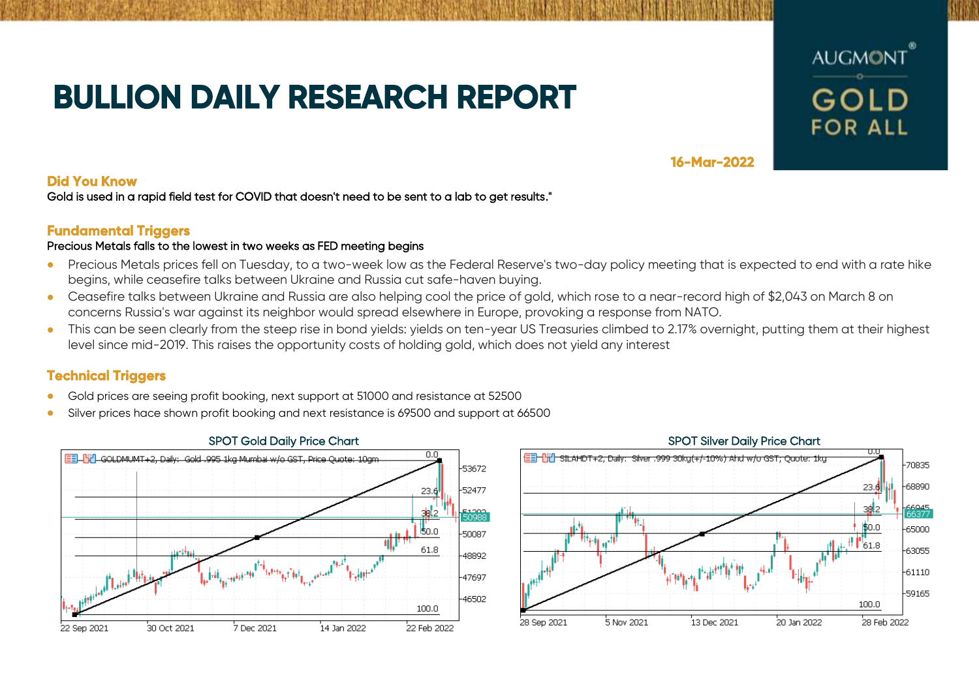# **BULLION DAILY RESEARCH REPORT**



**16-Mar-2022** 

### **Did You Know**

Gold is used in a rapid field test for COVID that doesn't need to be sent to a lab to get results."

### **Fundamental Triggers**

#### Precious Metals falls to the lowest in two weeks as FED meeting begins

- Precious Metals prices fell on Tuesday, to a two-week low as the Federal Reserve's two-day policy meeting that is expected to end with a rate hike begins, while ceasefire talks between Ukraine and Russia cut safe-haven buying.
- Ceasefire talks between Ukraine and Russia are also helping cool the price of gold, which rose to a near-record high of \$2,043 on March 8 on concerns Russia's war against its neighbor would spread elsewhere in Europe, provoking a response from NATO.
- This can be seen clearly from the steep rise in bond yields: yields on ten-year US Treasuries climbed to 2.17% overnight, putting them at their highest level since mid-2019. This raises the opportunity costs of holding gold, which does not yield any interest

## **Technical Triggers**

- Gold prices are seeing profit booking, next support at 51000 and resistance at 52500
- Silver prices hace shown profit booking and next resistance is 69500 and support at 66500